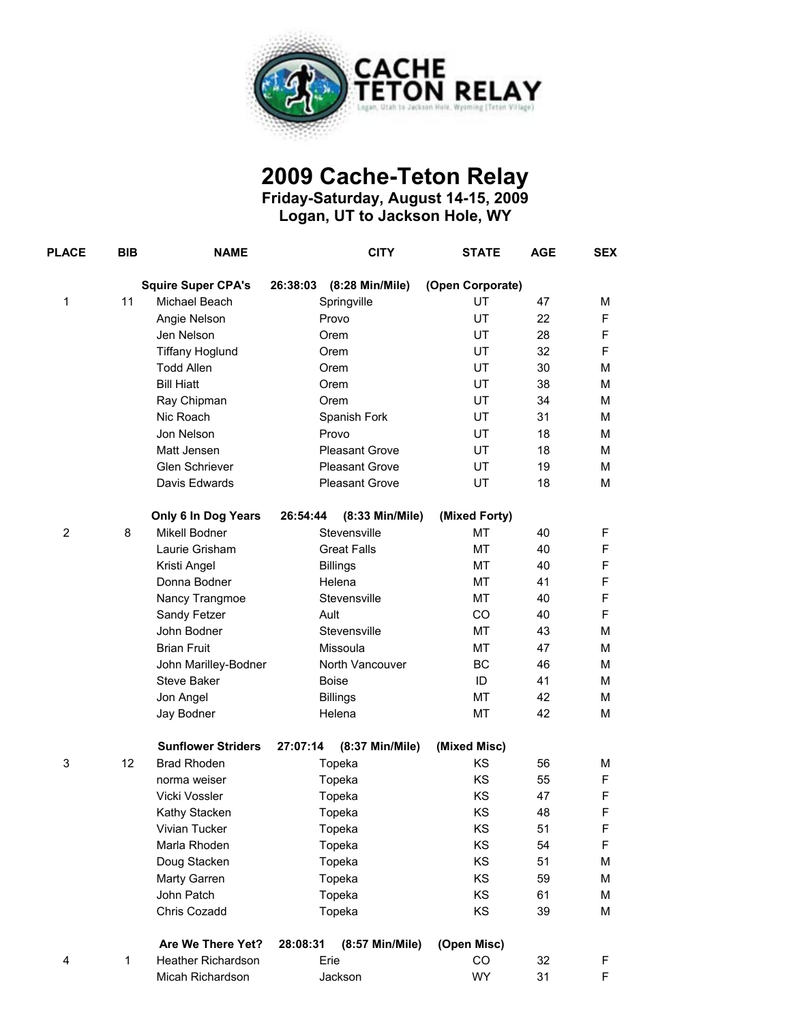

## **2009 Cache-Teton Relay Friday-Saturday, August 14-15, 2009 Logan, UT to Jackson Hole, WY**

| <b>PLACE</b>   | <b>BIB</b> | <b>NAME</b>               |          | <b>CITY</b>           | <b>STATE</b>     | <b>AGE</b> | <b>SEX</b> |
|----------------|------------|---------------------------|----------|-----------------------|------------------|------------|------------|
|                |            | <b>Squire Super CPA's</b> | 26:38:03 | (8:28 Min/Mile)       | (Open Corporate) |            |            |
| 1              | 11         | Michael Beach             |          | Springville           | UT               | 47         | м          |
|                |            | Angie Nelson              |          | Provo                 | UT               | 22         | F          |
|                |            | Jen Nelson                |          | Orem                  | UT               | 28         | F          |
|                |            | <b>Tiffany Hoglund</b>    |          | Orem                  | UT               | 32         | F          |
|                |            | <b>Todd Allen</b>         |          | Orem                  | UT               | 30         | м          |
|                |            | <b>Bill Hiatt</b>         |          | Orem                  | UT               | 38         | м          |
|                |            | Ray Chipman               |          | Orem                  | UT               | 34         | м          |
|                |            | Nic Roach                 |          | Spanish Fork          | UT               | 31         | м          |
|                |            | Jon Nelson                |          | Provo                 | UT               | 18         | м          |
|                |            | Matt Jensen               |          | <b>Pleasant Grove</b> | UT               | 18         | м          |
|                |            | Glen Schriever            |          | <b>Pleasant Grove</b> | UT               | 19         | м          |
|                |            | Davis Edwards             |          | <b>Pleasant Grove</b> | UT               | 18         | M          |
|                |            | Only 6 In Dog Years       | 26:54:44 | (8:33 Min/Mile)       | (Mixed Forty)    |            |            |
| $\overline{2}$ | 8          | Mikell Bodner             |          | Stevensville          | MT               | 40         | F          |
|                |            | Laurie Grisham            |          | <b>Great Falls</b>    | <b>MT</b>        | 40         | F          |
|                |            | Kristi Angel              |          | <b>Billings</b>       | МT               | 40         | F          |
|                |            | Donna Bodner              |          | Helena                | MT               | 41         | F          |
|                |            | Nancy Trangmoe            |          | Stevensville          | MT               | 40         | F          |
|                |            | Sandy Fetzer              |          | Ault                  | <b>CO</b>        | 40         | F          |
|                |            | John Bodner               |          | Stevensville          | MT               | 43         | м          |
|                |            | <b>Brian Fruit</b>        |          | Missoula              | MT               | 47         | м          |
|                |            | John Marilley-Bodner      |          | North Vancouver       | BC               | 46         | м          |
|                |            | Steve Baker               |          | <b>Boise</b>          | ID               | 41         | м          |
|                |            | Jon Angel                 |          | <b>Billings</b>       | MT               | 42         | м          |
|                |            | Jay Bodner                |          | Helena                | МT               | 42         | м          |
|                |            | <b>Sunflower Striders</b> | 27:07:14 | (8:37 Min/Mile)       | (Mixed Misc)     |            |            |
| 3              | 12         | <b>Brad Rhoden</b>        |          | Topeka                | KS               | 56         | м          |
|                |            | norma weiser              |          | Topeka                | KS               | 55         | F          |
|                |            | Vicki Vossler             |          | Topeka                | KS               | 47         | F          |
|                |            | Kathy Stacken             |          | Topeka                | KS               | 48         | F          |
|                |            | Vivian Tucker             |          | Topeka                | KS               | 51         | F          |
|                |            | Marla Rhoden              |          | Topeka                | KS               | 54         | F          |
|                |            | Doug Stacken              |          | Topeka                | KS               | 51         | M          |
|                |            | Marty Garren              |          | Topeka                | KS               | 59         | M          |
|                |            | John Patch                |          | Topeka                | KS               | 61         | M          |
|                |            | Chris Cozadd              |          | Topeka                | KS               | 39         | м          |
|                |            | Are We There Yet?         | 28:08:31 | (8:57 Min/Mile)       | (Open Misc)      |            |            |
| 4              | 1          | Heather Richardson        |          | Erie                  | CO               | 32         | F          |
|                |            | Micah Richardson          |          | Jackson               | <b>WY</b>        | 31         | F          |
|                |            |                           |          |                       |                  |            |            |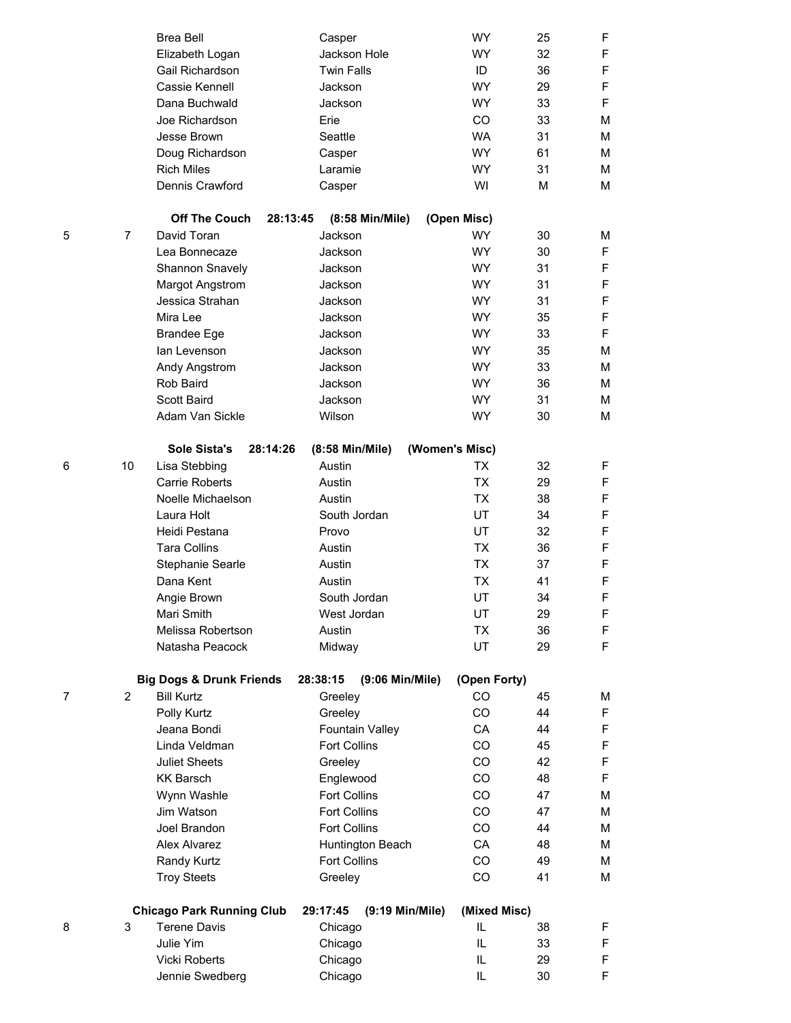|                |                | <b>Brea Bell</b>                    | Casper                      | <b>WY</b>      | 25 | $\mathsf F$ |
|----------------|----------------|-------------------------------------|-----------------------------|----------------|----|-------------|
|                |                | Elizabeth Logan                     | Jackson Hole                | <b>WY</b>      | 32 | F           |
|                |                | Gail Richardson                     | <b>Twin Falls</b>           | ID             | 36 | F           |
|                |                | Cassie Kennell                      | Jackson                     | <b>WY</b>      | 29 | F           |
|                |                | Dana Buchwald                       | Jackson                     | <b>WY</b>      | 33 | F           |
|                |                | Joe Richardson                      | Erie                        | CO.            | 33 | M           |
|                |                | Jesse Brown                         | Seattle                     | <b>WA</b>      | 31 | M           |
|                |                |                                     |                             |                |    |             |
|                |                | Doug Richardson                     | Casper                      | <b>WY</b>      | 61 | M           |
|                |                | <b>Rich Miles</b>                   | Laramie                     | WY             | 31 | M           |
|                |                | Dennis Crawford                     | Casper                      | WI             | M  | M           |
|                |                | <b>Off The Couch</b><br>28:13:45    | (8:58 Min/Mile)             | (Open Misc)    |    |             |
| 5              | $\overline{7}$ | David Toran                         | Jackson                     | <b>WY</b>      | 30 | М           |
|                |                | Lea Bonnecaze                       | Jackson                     | <b>WY</b>      | 30 | F           |
|                |                | Shannon Snavely                     | Jackson                     | <b>WY</b>      | 31 | F           |
|                |                | <b>Margot Angstrom</b>              | Jackson                     | <b>WY</b>      | 31 | F           |
|                |                | Jessica Strahan                     | Jackson                     | <b>WY</b>      | 31 | F           |
|                |                | Mira Lee                            | Jackson                     | <b>WY</b>      | 35 | F           |
|                |                | <b>Brandee Ege</b>                  | Jackson                     | <b>WY</b>      | 33 | F           |
|                |                | lan Levenson                        | Jackson                     | <b>WY</b>      | 35 | M           |
|                |                | Andy Angstrom                       | Jackson                     | <b>WY</b>      | 33 | М           |
|                |                | Rob Baird                           | Jackson                     | WY.            | 36 | М           |
|                |                | Scott Baird                         | Jackson                     | WY             | 31 | M           |
|                |                | Adam Van Sickle                     | Wilson                      | WY             | 30 | M           |
|                |                |                                     |                             |                |    |             |
|                |                | <b>Sole Sista's</b><br>28:14:26     | (8:58 Min/Mile)             | (Women's Misc) |    |             |
| 6              | 10             | Lisa Stebbing                       | Austin                      | TX             | 32 | F           |
|                |                | <b>Carrie Roberts</b>               | Austin                      | <b>TX</b>      | 29 | F           |
|                |                | Noelle Michaelson                   | Austin                      | <b>TX</b>      | 38 | F           |
|                |                | Laura Holt                          | South Jordan                | UT             | 34 | F           |
|                |                | Heidi Pestana                       | Provo                       | UT             | 32 | F           |
|                |                | <b>Tara Collins</b>                 | Austin                      | <b>TX</b>      | 36 | F           |
|                |                | Stephanie Searle                    | Austin                      | <b>TX</b>      | 37 | F           |
|                |                | Dana Kent                           | Austin                      | <b>TX</b>      | 41 | F           |
|                |                | Angie Brown                         | South Jordan                | UT             | 34 | F           |
|                |                | Mari Smith                          | West Jordan                 | UT             | 29 | F           |
|                |                | Melissa Robertson                   | Austin                      | <b>TX</b>      | 36 | F           |
|                |                | Natasha Peacock                     | Midway                      | UT             | 29 | F           |
|                |                | <b>Big Dogs &amp; Drunk Friends</b> | 28:38:15<br>(9:06 Min/Mile) | (Open Forty)   |    |             |
| $\overline{7}$ | $\overline{2}$ | <b>Bill Kurtz</b>                   | Greeley                     | CO             | 45 | М           |
|                |                | Polly Kurtz                         | Greeley                     | CO             | 44 | $\mathsf F$ |
|                |                | Jeana Bondi                         | Fountain Valley             | CA             | 44 | F           |
|                |                | Linda Veldman                       | <b>Fort Collins</b>         | CO             | 45 | F           |
|                |                | <b>Juliet Sheets</b>                | Greeley                     | CO             | 42 | F           |
|                |                | <b>KK Barsch</b>                    | Englewood                   | CO             | 48 | F           |
|                |                |                                     | <b>Fort Collins</b>         | CO             | 47 | M           |
|                |                | Wynn Washle                         |                             |                |    |             |
|                |                | Jim Watson                          | Fort Collins                | CO             | 47 | M           |
|                |                | Joel Brandon                        | <b>Fort Collins</b>         | CO             | 44 | M           |
|                | Alex Alvarez   |                                     | Huntington Beach            | CA             | 48 | М           |
|                |                | Randy Kurtz                         | Fort Collins                | CO             | 49 | М           |
|                |                | <b>Troy Steets</b>                  | Greeley                     | CO             | 41 | М           |
|                |                | <b>Chicago Park Running Club</b>    | 29:17:45<br>(9:19 Min/Mile) | (Mixed Misc)   |    |             |
| 8              | 3              | <b>Terene Davis</b>                 | Chicago                     | IL             | 38 | $\mathsf F$ |
|                |                | Julie Yim                           | Chicago                     | IL             | 33 | $\mathsf F$ |
|                |                | Vicki Roberts                       | Chicago                     | IL             | 29 | $\mathsf F$ |
|                |                | Jennie Swedberg                     | Chicago                     | IL             | 30 | $\mathsf F$ |
|                |                |                                     |                             |                |    |             |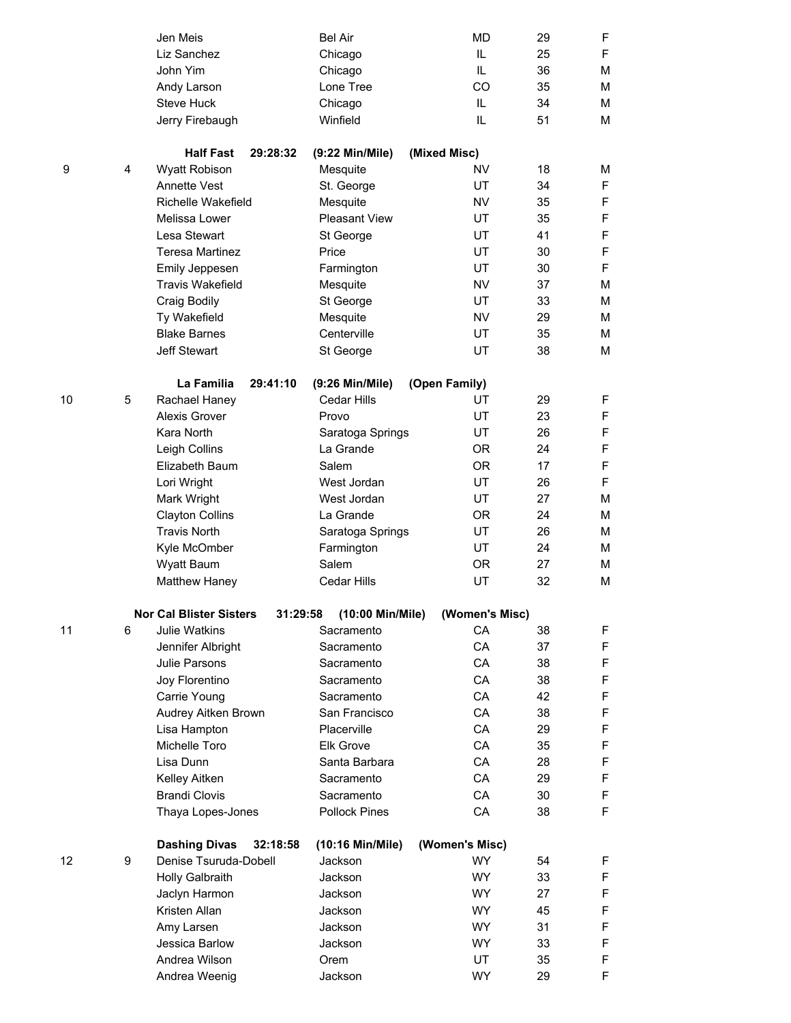|    |   | Jen Meis                       |          | <b>Bel Air</b>       |               | <b>MD</b>      | 29 | F           |
|----|---|--------------------------------|----------|----------------------|---------------|----------------|----|-------------|
|    |   | Liz Sanchez                    |          | Chicago              |               | IL             | 25 | F           |
|    |   | John Yim                       |          | Chicago              |               | IL.            | 36 | M           |
|    |   | Andy Larson                    |          | Lone Tree            |               | <b>CO</b>      | 35 | M           |
|    |   | Steve Huck                     |          | Chicago              |               | IL             | 34 | M           |
|    |   | Jerry Firebaugh                |          | Winfield             |               | IL             | 51 | M           |
|    |   | <b>Half Fast</b>               | 29:28:32 | (9:22 Min/Mile)      | (Mixed Misc)  |                |    |             |
| 9  | 4 | Wyatt Robison                  |          | Mesquite             |               | <b>NV</b>      | 18 | M           |
|    |   | <b>Annette Vest</b>            |          | St. George           |               | UT             | 34 | $\mathsf F$ |
|    |   | Richelle Wakefield             |          | Mesquite             |               | <b>NV</b>      | 35 | $\mathsf F$ |
|    |   | Melissa Lower                  |          | <b>Pleasant View</b> |               | UT             | 35 | $\mathsf F$ |
|    |   | Lesa Stewart                   |          | St George            |               | UT             | 41 | $\mathsf F$ |
|    |   | <b>Teresa Martinez</b>         |          | Price                |               | UT             | 30 | $\mathsf F$ |
|    |   | Emily Jeppesen                 |          | Farmington           |               | UT             | 30 | F           |
|    |   | <b>Travis Wakefield</b>        |          | Mesquite             |               | <b>NV</b>      | 37 | M           |
|    |   | Craig Bodily                   |          | St George            |               | UT             | 33 | M           |
|    |   | Ty Wakefield                   |          | Mesquite             |               | <b>NV</b>      | 29 | M           |
|    |   | <b>Blake Barnes</b>            |          | Centerville          |               | UT             | 35 | M           |
|    |   | <b>Jeff Stewart</b>            |          | St George            |               | UT             | 38 | M           |
|    |   | La Familia                     | 29:41:10 | (9:26 Min/Mile)      | (Open Family) |                |    |             |
| 10 | 5 | Rachael Haney                  |          | Cedar Hills          |               | UT             | 29 | F           |
|    |   | Alexis Grover                  |          | Provo                |               | UT             | 23 | $\mathsf F$ |
|    |   | Kara North                     |          | Saratoga Springs     |               | UT             | 26 | $\mathsf F$ |
|    |   | Leigh Collins                  |          | La Grande            |               | <b>OR</b>      | 24 | $\mathsf F$ |
|    |   | Elizabeth Baum                 |          | Salem                |               | OR.            | 17 | $\mathsf F$ |
|    |   | Lori Wright                    |          | West Jordan          |               | UT             | 26 | F           |
|    |   | Mark Wright                    |          | West Jordan          |               | UT             | 27 | M           |
|    |   | <b>Clayton Collins</b>         |          | La Grande            |               | <b>OR</b>      | 24 | M           |
|    |   | <b>Travis North</b>            |          | Saratoga Springs     |               | UT             | 26 | M           |
|    |   | Kyle McOmber                   |          | Farmington           |               | UT             | 24 | M           |
|    |   | Wyatt Baum                     |          | Salem                |               | <b>OR</b>      | 27 | M           |
|    |   | Matthew Haney                  |          | Cedar Hills          |               | UT             | 32 | M           |
|    |   | <b>Nor Cal Blister Sisters</b> | 31:29:58 | (10:00 Min/Mile)     |               | (Women's Misc) |    |             |
| 11 | 6 | <b>Julie Watkins</b>           |          | Sacramento           |               | CA             | 38 | F           |
|    |   | Jennifer Albright              |          | Sacramento           |               | CA             | 37 | F           |
|    |   | Julie Parsons                  |          | Sacramento           |               | CA             | 38 | $\mathsf F$ |
|    |   | Joy Florentino                 |          | Sacramento           |               | CA             | 38 | $\mathsf F$ |
|    |   | Carrie Young                   |          | Sacramento           |               | CA             | 42 | F           |
|    |   | Audrey Aitken Brown            |          | San Francisco        |               | CA             | 38 | $\mathsf F$ |
|    |   | Lisa Hampton                   |          | Placerville          |               | CA             | 29 | $\mathsf F$ |
|    |   | Michelle Toro                  |          | Elk Grove            |               | CA             | 35 | $\mathsf F$ |
|    |   | Lisa Dunn                      |          | Santa Barbara        |               | CA             | 28 | $\mathsf F$ |
|    |   | Kelley Aitken                  |          | Sacramento           |               | CA             | 29 | $\mathsf F$ |
|    |   | <b>Brandi Clovis</b>           |          | Sacramento           |               | CA             | 30 | $\mathsf F$ |
|    |   | Thaya Lopes-Jones              |          | Pollock Pines        |               | CA             | 38 | $\mathsf F$ |
|    |   | <b>Dashing Divas</b>           | 32:18:58 | (10:16 Min/Mile)     |               | (Women's Misc) |    |             |
| 12 | 9 | Denise Tsuruda-Dobell          |          | Jackson              |               | <b>WY</b>      | 54 | F           |
|    |   | Holly Galbraith                |          | Jackson              |               | <b>WY</b>      | 33 | F           |
|    |   | Jaclyn Harmon                  |          | Jackson              |               | <b>WY</b>      | 27 | F           |
|    |   | Kristen Allan                  |          | Jackson              |               | <b>WY</b>      | 45 | $\mathsf F$ |
|    |   | Amy Larsen                     |          | Jackson              |               | <b>WY</b>      | 31 | $\mathsf F$ |
|    |   | Jessica Barlow                 |          | Jackson              |               | <b>WY</b>      | 33 | F           |
|    |   | Andrea Wilson                  |          | Orem                 |               | UT             | 35 | $\mathsf F$ |
|    |   | Andrea Weenig                  |          | Jackson              |               | <b>WY</b>      | 29 | $\mathsf F$ |